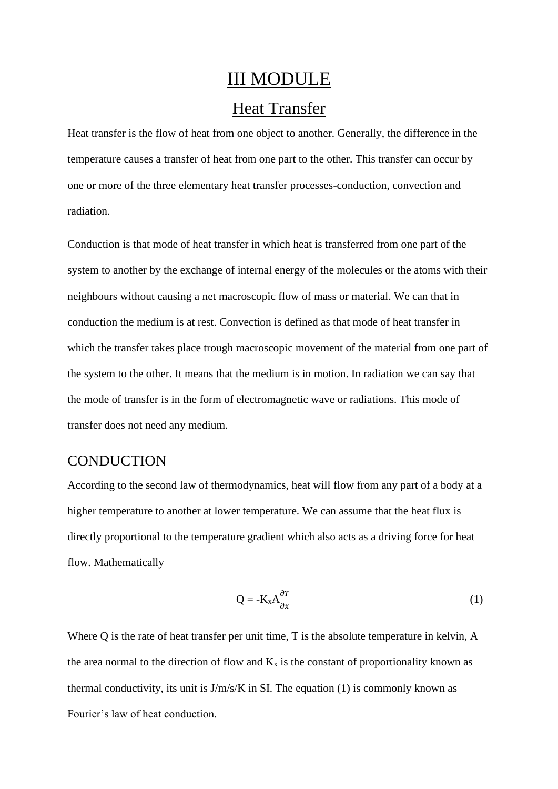# III MODULE Heat Transfer

Heat transfer is the flow of heat from one object to another. Generally, the difference in the temperature causes a transfer of heat from one part to the other. This transfer can occur by one or more of the three elementary heat transfer processes-conduction, convection and radiation.

Conduction is that mode of heat transfer in which heat is transferred from one part of the system to another by the exchange of internal energy of the molecules or the atoms with their neighbours without causing a net macroscopic flow of mass or material. We can that in conduction the medium is at rest. Convection is defined as that mode of heat transfer in which the transfer takes place trough macroscopic movement of the material from one part of the system to the other. It means that the medium is in motion. In radiation we can say that the mode of transfer is in the form of electromagnetic wave or radiations. This mode of transfer does not need any medium.

#### **CONDUCTION**

According to the second law of thermodynamics, heat will flow from any part of a body at a higher temperature to another at lower temperature. We can assume that the heat flux is directly proportional to the temperature gradient which also acts as a driving force for heat flow. Mathematically

$$
Q = -K_x A \frac{\partial T}{\partial x} \tag{1}
$$

Where Q is the rate of heat transfer per unit time, T is the absolute temperature in kelvin, A the area normal to the direction of flow and  $K_x$  is the constant of proportionality known as thermal conductivity, its unit is  $J/m/s/K$  in SI. The equation (1) is commonly known as Fourier's law of heat conduction.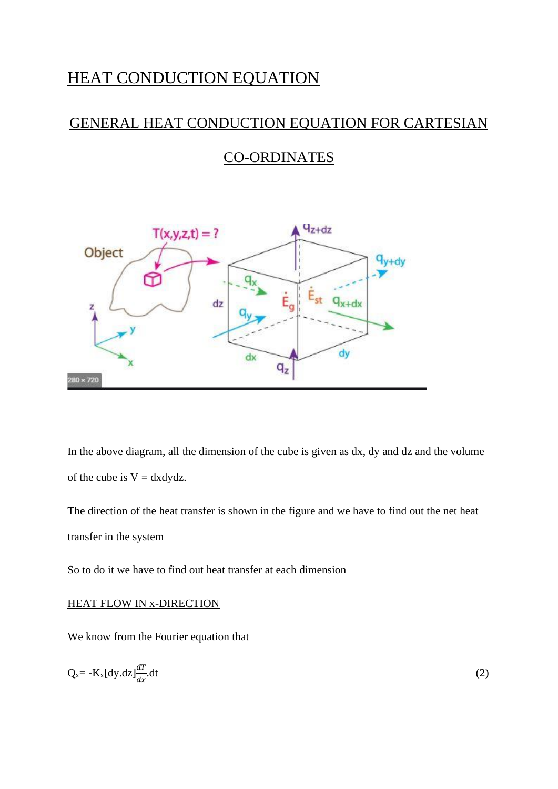## HEAT CONDUCTION EQUATION

## GENERAL HEAT CONDUCTION EQUATION FOR CARTESIAN

## CO-ORDINATES



In the above diagram, all the dimension of the cube is given as dx, dy and dz and the volume of the cube is  $V = dxdydz$ .

The direction of the heat transfer is shown in the figure and we have to find out the net heat transfer in the system

So to do it we have to find out heat transfer at each dimension

#### HEAT FLOW IN x-DIRECTION

We know from the Fourier equation that

$$
Q_x = -K_x[dy.dz] \frac{dT}{dx} dt
$$
 (2)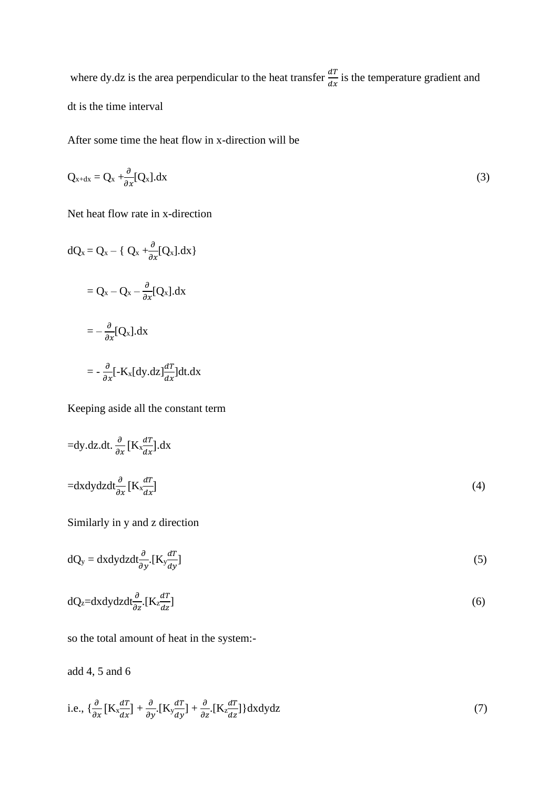where dy.dz is the area perpendicular to the heat transfer  $\frac{dT}{dx}$  is the temperature gradient and dt is the time interval

After some time the heat flow in x-direction will be

$$
Q_{x+dx} = Q_x + \frac{\partial}{\partial x} [Q_x].dx
$$
\n(3)

Net heat flow rate in x-direction

 $dQ_x = Q_x - \{ Q_x + \frac{\partial}{\partial x} [Q_x].dx \}$  $= Q_{x} - Q_{x} - \frac{\partial}{\partial x}[Q_{x}]$ .dx  $=-\frac{\partial}{\partial x}[Q_{x}].dx$  $= -\frac{\partial}{\partial x}[-K_x[dy.dz]\frac{dT}{dx}]dt.dx$ 

Keeping aside all the constant term

$$
=dy.dz.dt.\frac{\partial}{\partial x}[K_x\frac{dT}{dx}].dx
$$
  

$$
=dxdydzdt\frac{\partial}{\partial x}[K_x\frac{dT}{dx}]
$$
 (4)

Similarly in y and z direction

$$
dQ_y = dxdydzdt \frac{\partial}{\partial y} [K_y \frac{dT}{dy}]
$$
\n(5)

$$
dQ_z = dx dy dz dt \frac{\partial}{\partial z} [K_z \frac{dT}{dz}]
$$
\n(6)

so the total amount of heat in the system:-

add 4, 5 and 6

i.e., 
$$
\left\{\frac{\partial}{\partial x}\left[K_{x}\frac{dT}{dx}\right] + \frac{\partial}{\partial y}\left[K_{y}\frac{dT}{dy}\right] + \frac{\partial}{\partial z}\left[K_{z}\frac{dT}{dz}\right]\right\}dxdydz
$$
 (7)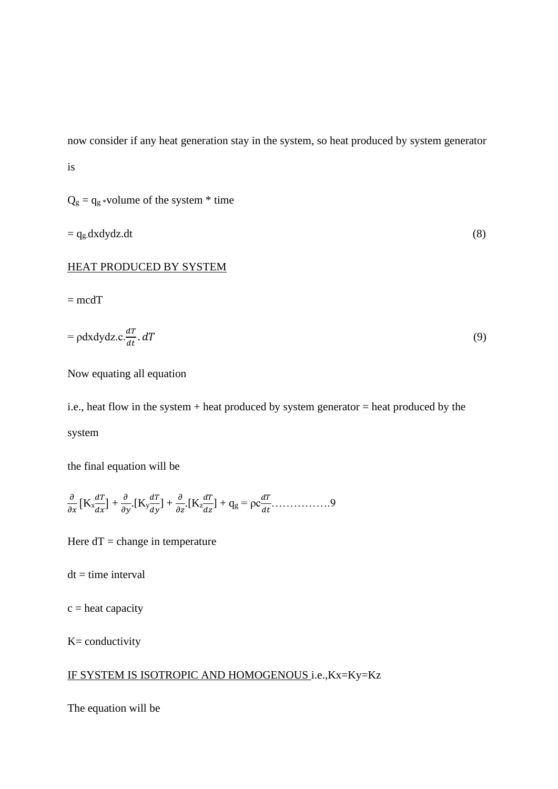now consider if any heat generation stay in the system, so heat produced by system generator is

 $Q_g = q_g *$ volume of the system  $*$  time

$$
= q_g \, dx \, dy \, dz \, dt \tag{8}
$$

#### HEAT PRODUCED BY SYSTEM

 $=$  mcdT

$$
= \rho \mathrm{d}x \mathrm{d}y \mathrm{d}z \cdot c \cdot \frac{dT}{dt} \cdot dT \tag{9}
$$

Now equating all equation

i.e., heat flow in the system + heat produced by system generator  $=$  heat produced by the system

the final equation will be

$$
\frac{\partial}{\partial x}\left[K_x \frac{dT}{dx}\right] + \frac{\partial}{\partial y}\left[K_y \frac{dT}{dy}\right] + \frac{\partial}{\partial z}\left[K_z \frac{dT}{dz}\right] + q_g = \rho c \frac{dT}{dt} \dots \dots \dots \dots \dots \dots
$$

Here  $dT = change$  in temperature

 $dt = time interval$ 

 $c =$  heat capacity

 $K=$  conductivity

#### IF SYSTEM IS ISOTROPIC AND HOMOGENOUS i.e.,Kx=Ky=Kz

The equation will be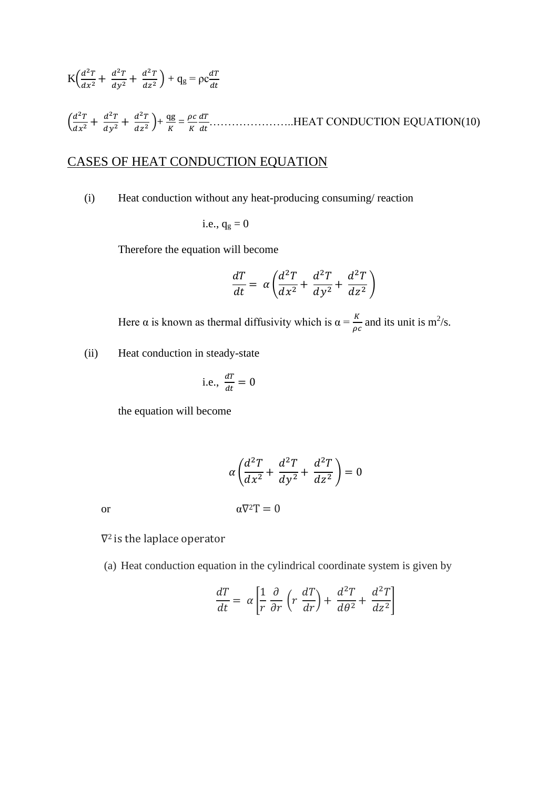K( 2 <sup>2</sup> + 2 <sup>2</sup> <sup>+</sup> 2 2 ) + q<sup>g</sup> = ρc ( 2 <sup>2</sup> + 2 <sup>2</sup> <sup>+</sup> 2 2 )+ qg = …………………..HEAT CONDUCTION EQUATION(10)

## CASES OF HEAT CONDUCTION EQUATION

(i) Heat conduction without any heat-producing consuming/ reaction

i.e., 
$$
q_g = 0
$$

Therefore the equation will become

$$
\frac{dT}{dt} = \alpha \left( \frac{d^2T}{dx^2} + \frac{d^2T}{dy^2} + \frac{d^2T}{dz^2} \right)
$$

Here  $\alpha$  is known as thermal diffusivity which is  $\alpha = \frac{K}{\rho c}$  and its unit is m<sup>2</sup>/s.

(ii) Heat conduction in steady-state

i.e., 
$$
\frac{dT}{dt} = 0
$$

the equation will become

$$
\alpha \left( \frac{d^2 T}{dx^2} + \frac{d^2 T}{dy^2} + \frac{d^2 T}{dz^2} \right) = 0
$$
  
or  

$$
\alpha \nabla^2 T = 0
$$

∇2 is the laplace operator

(a) Heat conduction equation in the cylindrical coordinate system is given by

$$
\frac{dT}{dt} = \alpha \left[ \frac{1}{r} \frac{\partial}{\partial r} \left( r \frac{dT}{dr} \right) + \frac{d^2 T}{d\theta^2} + \frac{d^2 T}{dz^2} \right]
$$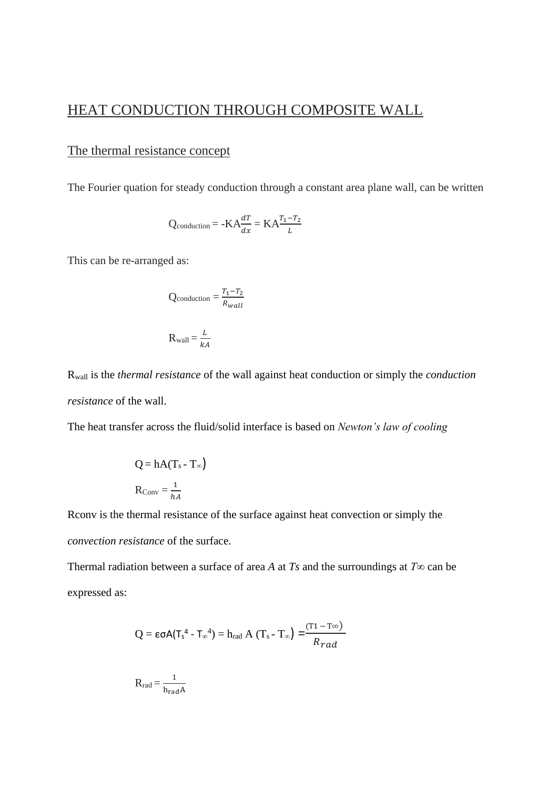## HEAT CONDUCTION THROUGH COMPOSITE WALL

#### The thermal resistance concept

The Fourier quation for steady conduction through a constant area plane wall, can be written

$$
Q_{\text{conduction}} = -KA \frac{dT}{dx} = KA \frac{T_1 - T_2}{L}
$$

This can be re-arranged as:

$$
Q_{\text{conduction}} = \frac{T_1 - T_2}{R_{wall}}
$$

$$
R_{\text{wall}} = \frac{L}{kA}
$$

Rwall is the *thermal resistance* of the wall against heat conduction or simply the *conduction resistance* of the wall.

The heat transfer across the fluid/solid interface is based on *Newton's law of cooling*

$$
Q = hA(T_s - T_{\infty})
$$

$$
R_{Conv} = \frac{1}{hA}
$$

Rconv is the thermal resistance of the surface against heat convection or simply the *convection resistance* of the surface.

Thermal radiation between a surface of area *A* at *Ts* and the surroundings at  $T\infty$  can be expressed as:

$$
Q = \epsilon \sigma A (T_s^4 - T_\infty^4) = h_{rad} A (T_s - T_\infty) = \frac{(T1 - T_\infty)}{R_{rad}}
$$

$$
R_{\rm rad} = \frac{1}{h_{\rm rad} A}
$$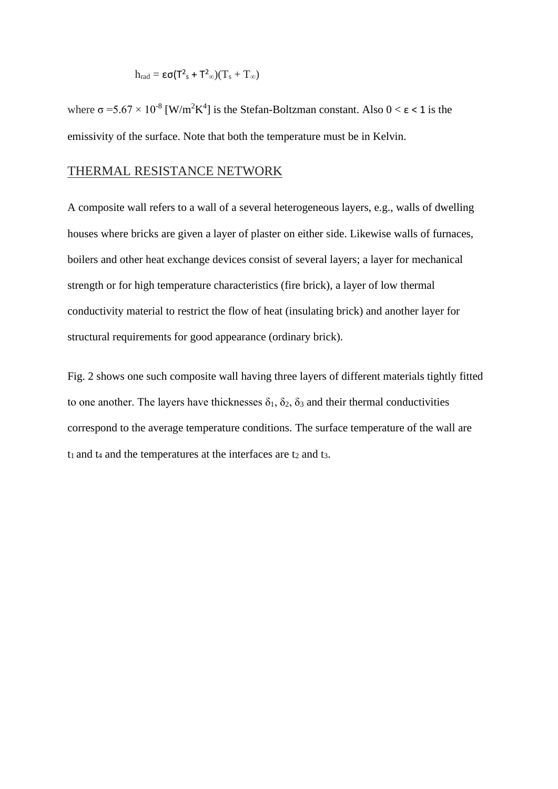$$
h_{rad} = \epsilon \sigma (T^2_s + T^2_\infty)(T_s + T_\infty)
$$

where  $\sigma = 5.67 \times 10^{-8}$  [W/m<sup>2</sup>K<sup>4</sup>] is the Stefan-Boltzman constant. Also  $0 < \varepsilon < 1$  is the emissivity of the surface. Note that both the temperature must be in Kelvin.

#### THERMAL RESISTANCE NETWORK

A composite wall refers to a wall of a several heterogeneous layers, e.g., walls of dwelling houses where bricks are given a layer of plaster on either side. Likewise walls of furnaces, boilers and other heat exchange devices consist of several layers; a layer for mechanical strength or for high temperature characteristics (fire brick), a layer of low thermal conductivity material to restrict the flow of heat (insulating brick) and another layer for structural requirements for good appearance (ordinary brick).

Fig. 2 shows one such composite wall having three layers of different materials tightly fitted to one another. The layers have thicknesses  $\delta_1$ ,  $\delta_2$ ,  $\delta_3$  and their thermal conductivities correspond to the average temperature conditions. The surface temperature of the wall are  $t_1$  and  $t_4$  and the temperatures at the interfaces are  $t_2$  and  $t_3$ .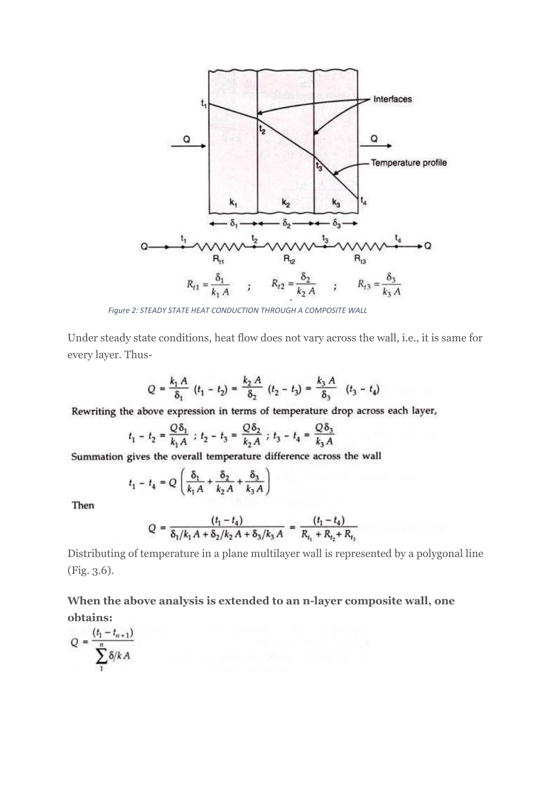

*Figure 2: STEADY STATE HEAT CONDUCTION THROUGH A COMPOSITE WALL*

Under steady state conditions, heat flow does not vary across the wall, i.e., it is same for every layer. Thus-

$$
Q = \frac{k_1 A}{\delta_1} (t_1 - t_2) = \frac{k_2 A}{\delta_2} (t_2 - t_3) = \frac{k_3 A}{\delta_3} (t_3 - t_4)
$$

Rewriting the above expression in terms of temperature drop across each layer,

$$
t_1 - t_2 = \frac{Q\delta_1}{k_1 A} \; ; \; t_2 - t_3 = \frac{Q\delta_2}{k_2 A} \; ; \; t_3 - t_4 = \frac{Q\delta_3}{k_3 A}
$$

Summation gives the overall temperature difference across the wall

$$
t_1 - t_4 = Q\left(\frac{\delta_1}{k_1 A} + \frac{\delta_2}{k_2 A} + \frac{\delta_3}{k_3 A}\right)
$$

Then

$$
Q = \frac{(t_1 - t_4)}{\delta_1/k_1 A + \delta_2/k_2 A + \delta_3/k_3 A} = \frac{(t_1 - t_4)}{R_{t_1} + R_{t_2} + R_{t_3}}
$$

Distributing of temperature in a plane multilayer wall is represented by a polygonal line (Fig. 3.6).

**When the above analysis is extended to an n-layer composite wall, one obtains:**

$$
Q = \frac{(t_1 - t_{n+1})}{\sum_{1}^{n} \delta / k A}
$$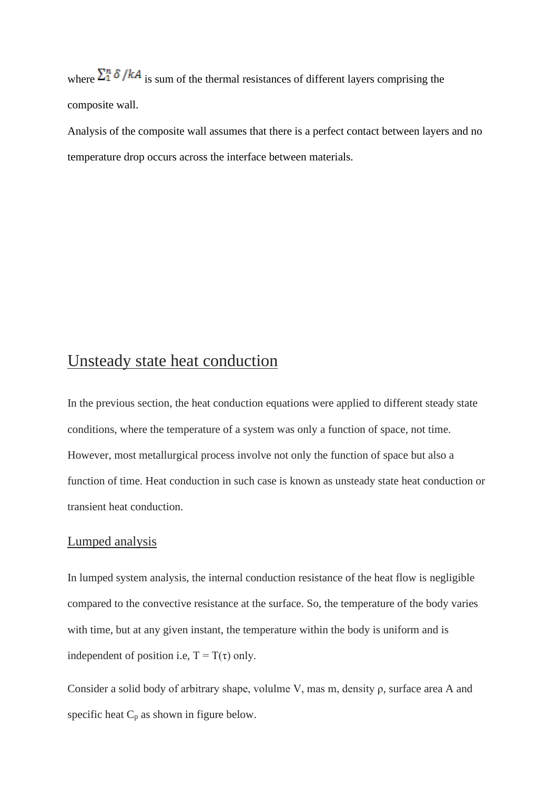where  $\sum_{i=1}^{n} \delta / kA$  is sum of the thermal resistances of different layers comprising the composite wall.

Analysis of the composite wall assumes that there is a perfect contact between layers and no temperature drop occurs across the interface between materials.

## Unsteady state heat conduction

In the previous section, the heat conduction equations were applied to different steady state conditions, where the temperature of a system was only a function of space, not time. However, most metallurgical process involve not only the function of space but also a function of time. Heat conduction in such case is known as unsteady state heat conduction or transient heat conduction.

#### Lumped analysis

In lumped system analysis, the internal conduction resistance of the heat flow is negligible compared to the convective resistance at the surface. So, the temperature of the body varies with time, but at any given instant, the temperature within the body is uniform and is independent of position i.e,  $T = T(\tau)$  only.

Consider a solid body of arbitrary shape, volulme V, mas m, density ρ, surface area A and specific heat  $C_p$  as shown in figure below.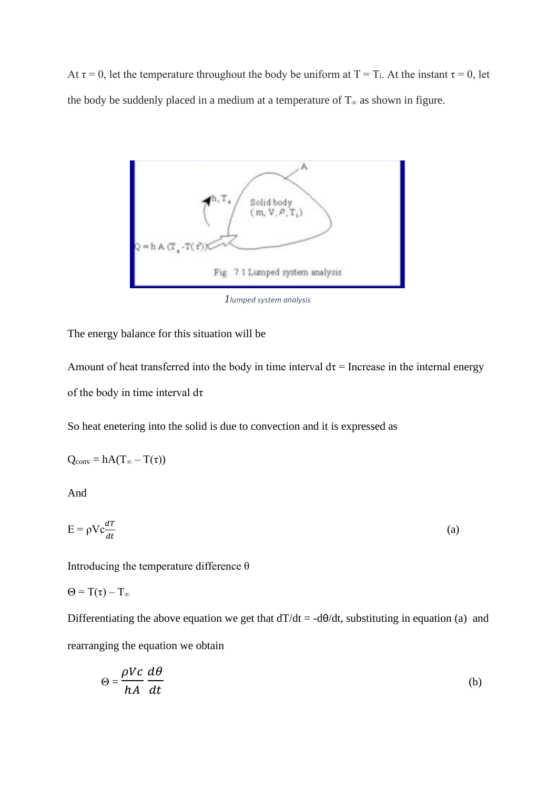At  $\tau = 0$ , let the temperature throughout the body be uniform at T = T<sub>i</sub>. At the instant  $\tau = 0$ , let the body be suddenly placed in a medium at a temperature of  $T<sub>∞</sub>$  as shown in figure.



*1lumped system analysis*

The energy balance for this situation will be

Amount of heat transferred into the body in time interval  $d\tau$  = Increase in the internal energy of the body in time interval dτ

So heat enetering into the solid is due to convection and it is expressed as

$$
Q_{conv} = hA(T_{\infty} - T(\tau))
$$

And

$$
E = \rho V c \frac{dT}{dt}
$$
 (a)

Introducing the temperature difference  $\theta$ 

 $\Theta = T(\tau) - T_{\infty}$ 

Differentiating the above equation we get that  $dT/dt = -d\theta/dt$ , substituting in equation (a) and rearranging the equation we obtain

$$
\Theta = \frac{\rho V c}{h A} \frac{d\theta}{dt}
$$
 (b)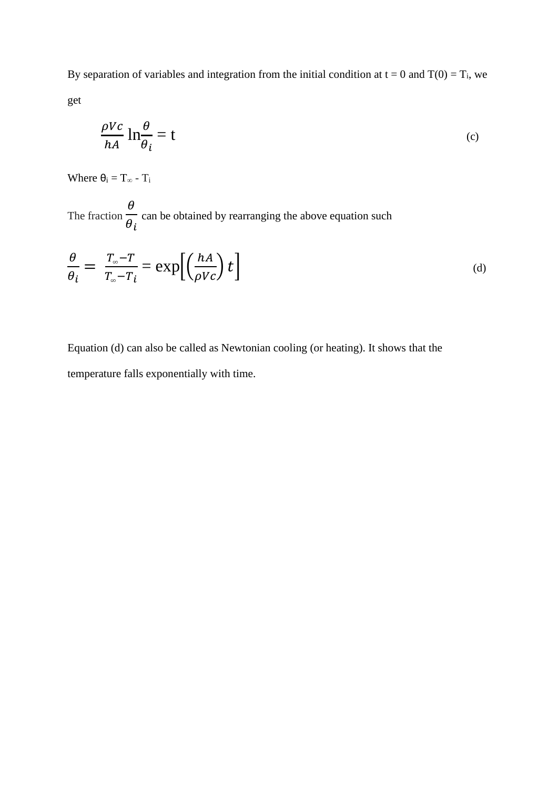By separation of variables and integration from the initial condition at  $t = 0$  and  $T(0) = T_i$ , we get

$$
\frac{\rho V c}{h A} \ln \frac{\theta}{\theta_i} = t
$$
 (c)

Where  $\theta_i = T_{\infty} - T_i$ 

The fraction  $\theta$  $\theta_i$ can be obtained by rearranging the above equation such

$$
\frac{\theta}{\theta_i} = \frac{T_{\infty} - T}{T_{\infty} - T_i} = \exp\left[\left(\frac{hA}{\rho Vc}\right)t\right]
$$
\n(d)

Equation (d) can also be called as Newtonian cooling (or heating). It shows that the temperature falls exponentially with time.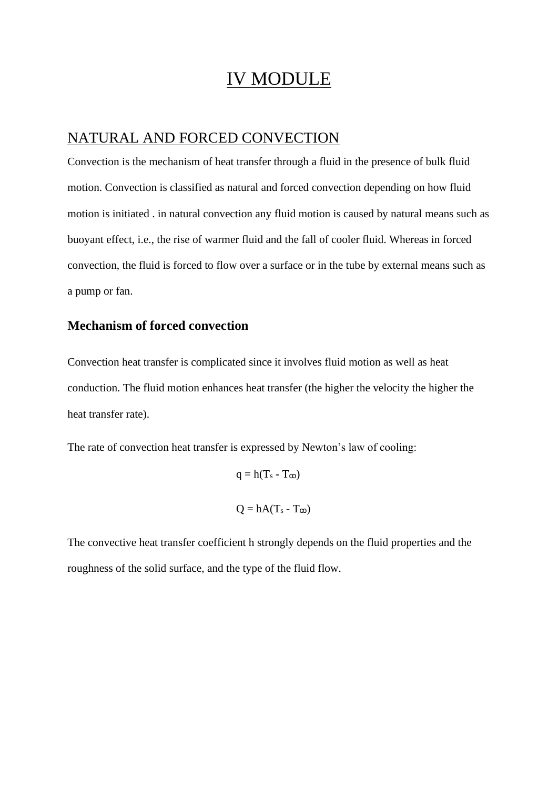## IV MODULE

### NATURAL AND FORCED CONVECTION

Convection is the mechanism of heat transfer through a fluid in the presence of bulk fluid motion. Convection is classified as natural and forced convection depending on how fluid motion is initiated . in natural convection any fluid motion is caused by natural means such as buoyant effect, i.e., the rise of warmer fluid and the fall of cooler fluid. Whereas in forced convection, the fluid is forced to flow over a surface or in the tube by external means such as a pump or fan.

#### **Mechanism of forced convection**

Convection heat transfer is complicated since it involves fluid motion as well as heat conduction. The fluid motion enhances heat transfer (the higher the velocity the higher the heat transfer rate).

The rate of convection heat transfer is expressed by Newton's law of cooling:

 $q = h(T_s - T_{\infty})$  $Q = hA(T_s - T_{\omega})$ 

The convective heat transfer coefficient h strongly depends on the fluid properties and the roughness of the solid surface, and the type of the fluid flow.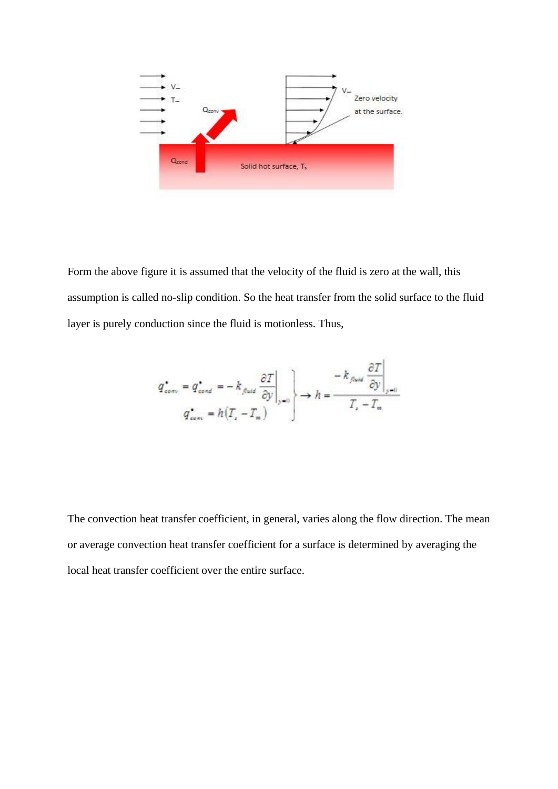

Form the above figure it is assumed that the velocity of the fluid is zero at the wall, this assumption is called no-slip condition. So the heat transfer from the solid surface to the fluid layer is purely conduction since the fluid is motionless. Thus,

$$
q_{conv}^{\star} = q_{cont}^{\star} = -k_{final} \frac{\partial T}{\partial y}\Big|_{y=0} \longrightarrow h = \frac{-k_{final} \frac{\partial T}{\partial y}\Big|_{y=0}}{T_{s} - T_{m}}
$$

The convection heat transfer coefficient, in general, varies along the flow direction. The mean or average convection heat transfer coefficient for a surface is determined by averaging the local heat transfer coefficient over the entire surface.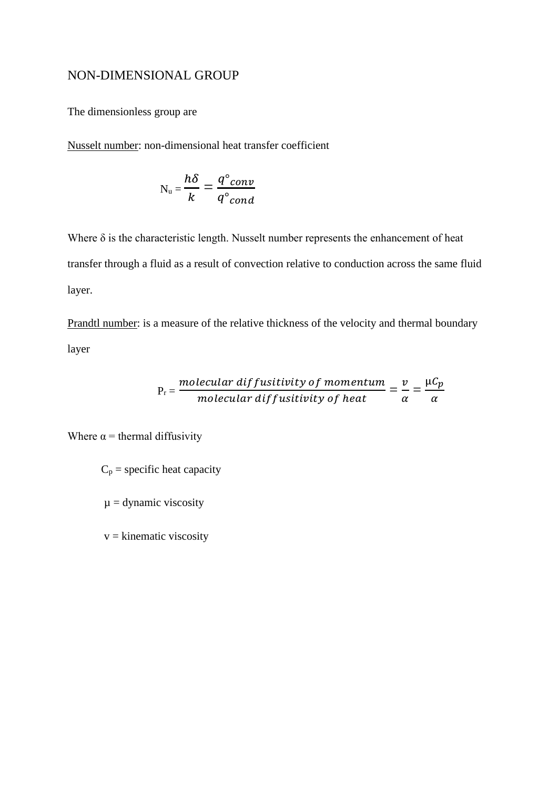#### NON-DIMENSIONAL GROUP

The dimensionless group are

Nusselt number: non-dimensional heat transfer coefficient

$$
N_{u} = \frac{h\delta}{k} = \frac{q^{\circ}conv}{q^{\circ}cond}
$$

Where  $\delta$  is the characteristic length. Nusselt number represents the enhancement of heat transfer through a fluid as a result of convection relative to conduction across the same fluid layer.

Prandtl number: is a measure of the relative thickness of the velocity and thermal boundary layer

$$
P_r = \frac{molecular\ diffusitivity\ of\ momentum}{molecular\ diffusitivity\ of\ heat} = \frac{v}{\alpha} = \frac{\mu C_p}{\alpha}
$$

Where  $\alpha$  = thermal diffusivity

 $C_p$  = specific heat capacity

 $\mu$  = dynamic viscosity

 $v =$ kinematic viscosity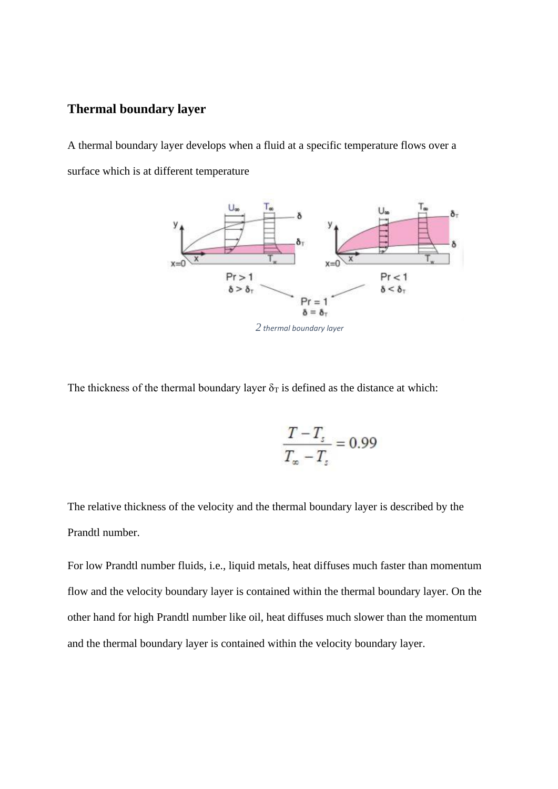#### **Thermal boundary layer**

A thermal boundary layer develops when a fluid at a specific temperature flows over a surface which is at different temperature



*2 thermal boundary layer*

The thickness of the thermal boundary layer  $\delta_T$  is defined as the distance at which:

$$
\frac{T - T_s}{T_\infty - T_s} = 0.99
$$

The relative thickness of the velocity and the thermal boundary layer is described by the Prandtl number.

For low Prandtl number fluids, i.e., liquid metals, heat diffuses much faster than momentum flow and the velocity boundary layer is contained within the thermal boundary layer. On the other hand for high Prandtl number like oil, heat diffuses much slower than the momentum and the thermal boundary layer is contained within the velocity boundary layer.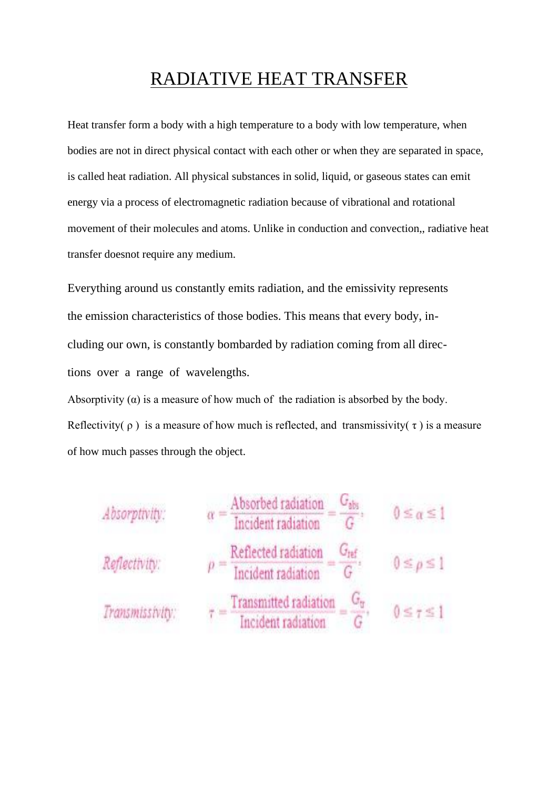## RADIATIVE HEAT TRANSFER

Heat transfer form a body with a high temperature to a body with low temperature, when bodies are not in direct physical contact with each other or when they are separated in space, is called heat radiation. All physical substances in solid, liquid, or gaseous states can emit energy via a process of electromagnetic radiation because of vibrational and rotational movement of their molecules and atoms. Unlike in conduction and convection,, radiative heat transfer doesnot require any medium.

Everything around us constantly emits radiation, and the emissivity represents the emission characteristics of those bodies. This means that every body, including our own, is constantly bombarded by radiation coming from all directions over a range of wavelengths.

Absorptivity  $(\alpha)$  is a measure of how much of the radiation is absorbed by the body. Reflectivity( $\rho$ ) is a measure of how much is reflected, and transmissivity( $\tau$ ) is a measure of how much passes through the object.

| Absorptivity:   |                                                                                                     | $0 \leq \alpha \leq 1$ |
|-----------------|-----------------------------------------------------------------------------------------------------|------------------------|
|                 | $\alpha = \frac{\text{Absorbed radiation}}{\text{Incident radiation}} = \frac{G_{\text{abs}}}{G}$ . |                        |
| Reflectivity:   | Reflected radiation<br>$G_{\text{ref}}$                                                             | $0 \leq \rho \leq 1$   |
|                 | $p =$ Incident radiation $G$                                                                        |                        |
| Transmissivity: | _ Transmitted radiation                                                                             | $0 \leq 7 \leq 1$      |
|                 | $\tau =$ Theident radiation                                                                         |                        |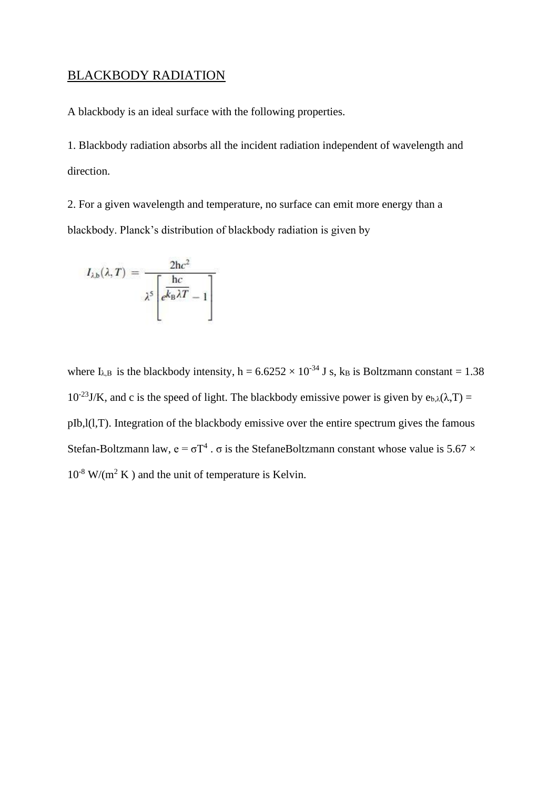#### BLACKBODY RADIATION

A blackbody is an ideal surface with the following properties.

1. Blackbody radiation absorbs all the incident radiation independent of wavelength and direction.

2. For a given wavelength and temperature, no surface can emit more energy than a blackbody. Planck's distribution of blackbody radiation is given by

$$
I_{\lambda,b}(\lambda,T) = \frac{2hc^2}{\lambda^5 \left[e^{\frac{hc}{k_B\lambda T}} - 1\right]}
$$

where  $I_{\lambda,B}$  is the blackbody intensity, h = 6.6252 × 10<sup>-34</sup> J s, k<sub>B</sub> is Boltzmann constant = 1.38  $10^{-23}$ J/K, and c is the speed of light. The blackbody emissive power is given by  $e_{b,\lambda}(\lambda,T) =$ pIb,l(l,T). Integration of the blackbody emissive over the entire spectrum gives the famous Stefan-Boltzmann law,  $e = \sigma T^4$ .  $\sigma$  is the StefaneBoltzmann constant whose value is 5.67  $\times$  $10^{-8}$  W/(m<sup>2</sup> K) and the unit of temperature is Kelvin.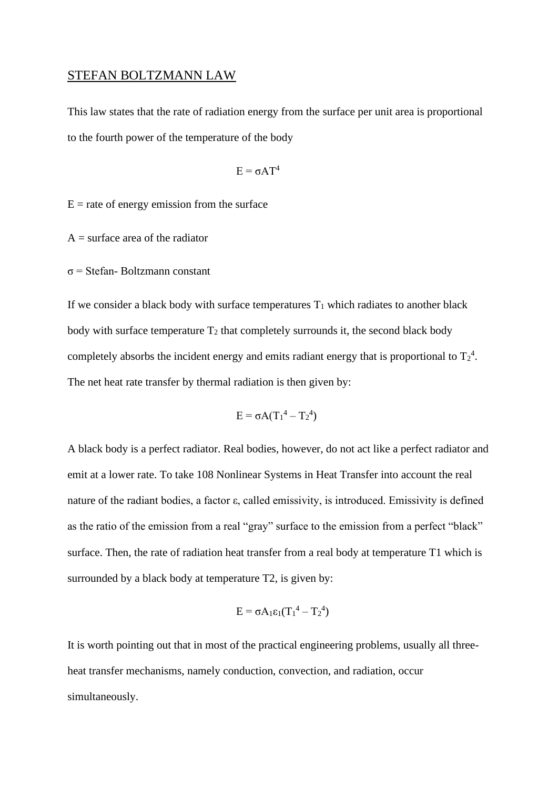#### STEFAN BOLTZMANN LAW

This law states that the rate of radiation energy from the surface per unit area is proportional to the fourth power of the temperature of the body

$$
E=\sigma A T^4
$$

 $E$  = rate of energy emission from the surface

 $A =$ surface area of the radiator

σ = Stefan- Boltzmann constant

If we consider a black body with surface temperatures  $T_1$  which radiates to another black body with surface temperature  $T_2$  that completely surrounds it, the second black body completely absorbs the incident energy and emits radiant energy that is proportional to  $T_2^4$ . The net heat rate transfer by thermal radiation is then given by:

$$
E = \sigma A (T_1^4 - T_2^4)
$$

A black body is a perfect radiator. Real bodies, however, do not act like a perfect radiator and emit at a lower rate. To take 108 Nonlinear Systems in Heat Transfer into account the real nature of the radiant bodies, a factor ε, called emissivity, is introduced. Emissivity is defined as the ratio of the emission from a real "gray" surface to the emission from a perfect "black" surface. Then, the rate of radiation heat transfer from a real body at temperature T1 which is surrounded by a black body at temperature T2, is given by:

$$
E = \sigma A_1 \epsilon_1 (T_1^4 - T_2^4)
$$

It is worth pointing out that in most of the practical engineering problems, usually all threeheat transfer mechanisms, namely conduction, convection, and radiation, occur simultaneously.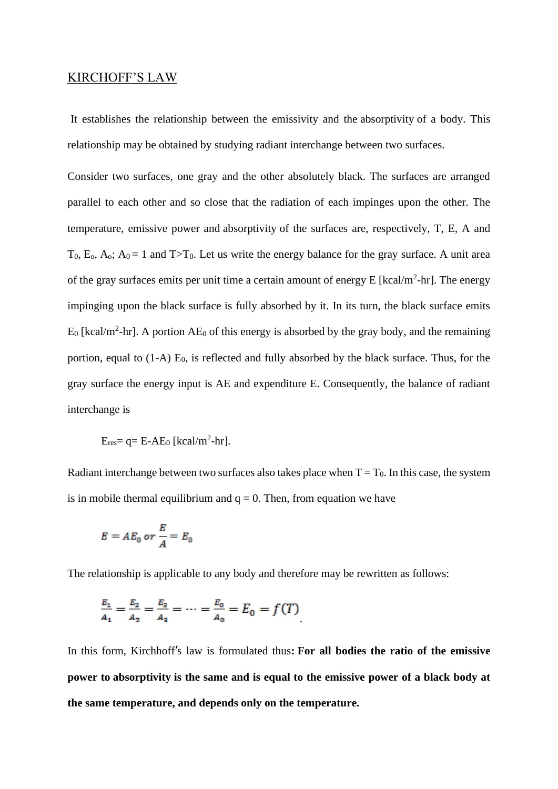#### KIRCHOFF'S LAW

It establishes the relationship between the emissivity and the absorptivity of a body. This relationship may be obtained by studying radiant interchange between two surfaces.

Consider two surfaces, one gray and the other absolutely black. The surfaces are arranged parallel to each other and so close that the radiation of each impinges upon the other. The temperature, emissive power and absorptivity of the surfaces are, respectively, T, E, A and  $T_0$ ,  $E_0$ ,  $A_0$ ;  $A_0 = 1$  and  $T>T_0$ . Let us write the energy balance for the gray surface. A unit area of the gray surfaces emits per unit time a certain amount of energy  $E$  [kcal/m<sup>2</sup>-hr]. The energy impinging upon the black surface is fully absorbed by it. In its turn, the black surface emits  $E_0$  [kcal/m<sup>2</sup>-hr]. A portion A $E_0$  of this energy is absorbed by the gray body, and the remaining portion, equal to  $(1-A)$  E<sub>0</sub>, is reflected and fully absorbed by the black surface. Thus, for the gray surface the energy input is AE and expenditure E. Consequently, the balance of radiant interchange is

 $E_{res}$  = q = E-AE<sub>0</sub> [kcal/m<sup>2</sup>-hr].

Radiant interchange between two surfaces also takes place when  $T = T_0$ . In this case, the system is in mobile thermal equilibrium and  $q = 0$ . Then, from equation we have

$$
E = AE_0 \text{ or } \frac{E}{A} = E_0
$$

The relationship is applicable to any body and therefore may be rewritten as follows:

$$
\frac{E_1}{A_1} = \frac{E_2}{A_2} = \frac{E_3}{A_3} = \dots = \frac{E_0}{A_0} = E_0 = f(T)
$$

In this form, Kirchhoff's law is formulated thus**: For all bodies the ratio of the emissive power to absorptivity is the same and is equal to the emissive power of a black body at the same temperature, and depends only on the temperature.**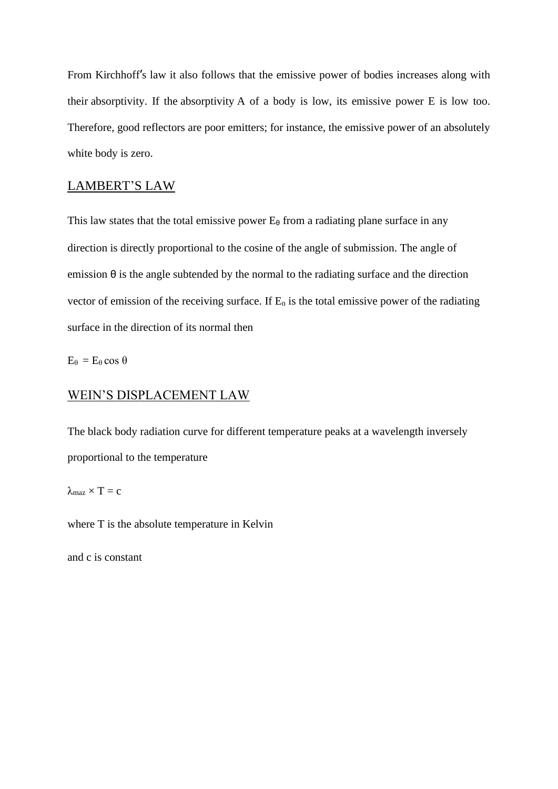From Kirchhoff's law it also follows that the emissive power of bodies increases along with their absorptivity. If the absorptivity A of a body is low, its emissive power E is low too. Therefore, good reflectors are poor emitters; for instance, the emissive power of an absolutely white body is zero.

## LAMBERT'S LAW

This law states that the total emissive power  $E_{\theta}$  from a radiating plane surface in any direction is directly proportional to the cosine of the angle of submission. The angle of emission  $\theta$  is the angle subtended by the normal to the radiating surface and the direction vector of emission of the receiving surface. If  $E_n$  is the total emissive power of the radiating surface in the direction of its normal then

 $E_\theta = E_\theta \cos \theta$ 

#### WEIN'S DISPLACEMENT LAW

The black body radiation curve for different temperature peaks at a wavelength inversely proportional to the temperature

#### $\lambda_{\text{max}} \times T = c$

where T is the absolute temperature in Kelvin

and c is constant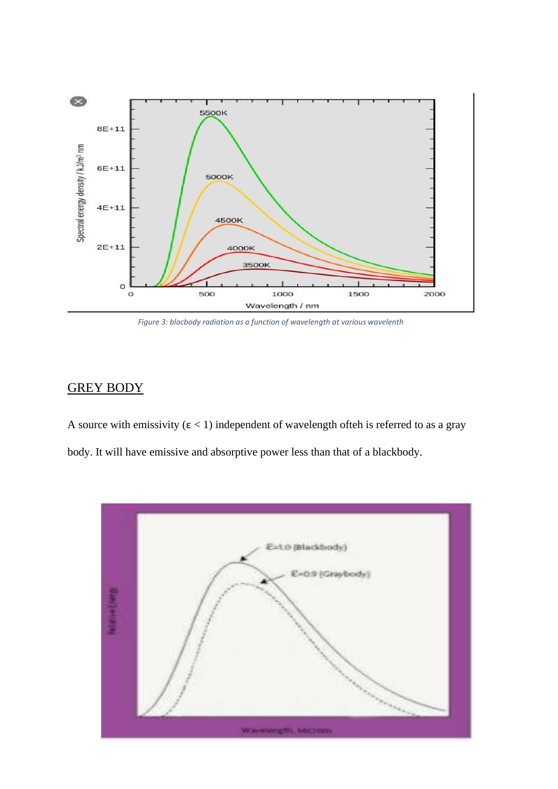

*Figure 3: blacbody radiation as a function of wavelength at various wavelenth*

## GREY BODY

A source with emissivity ( $\varepsilon$  < 1) independent of wavelength ofteh is referred to as a gray body. It will have emissive and absorptive power less than that of a blackbody.

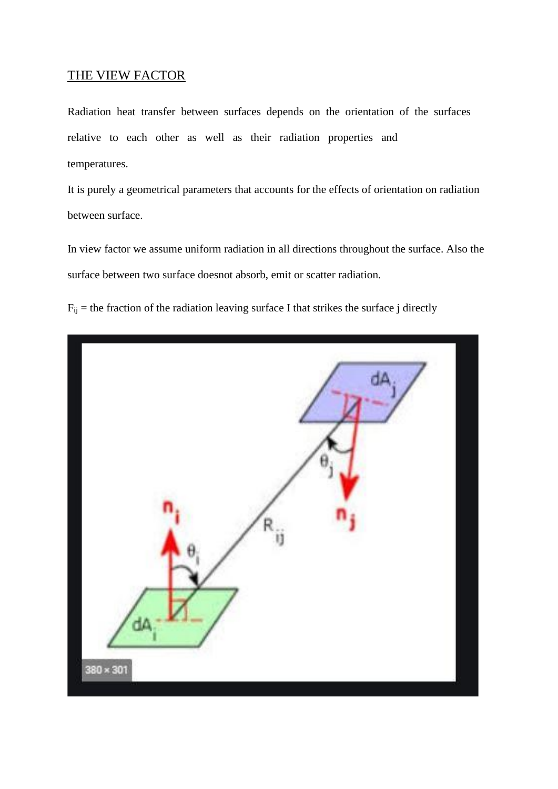#### THE VIEW FACTOR

Radiation heat transfer between surfaces depends on the orientation of the surfaces relative to each other as well as their radiation properties and temperatures.

It is purely a geometrical parameters that accounts for the effects of orientation on radiation between surface.

In view factor we assume uniform radiation in all directions throughout the surface. Also the surface between two surface doesnot absorb, emit or scatter radiation.

 $F_{ij}$  = the fraction of the radiation leaving surface I that strikes the surface j directly

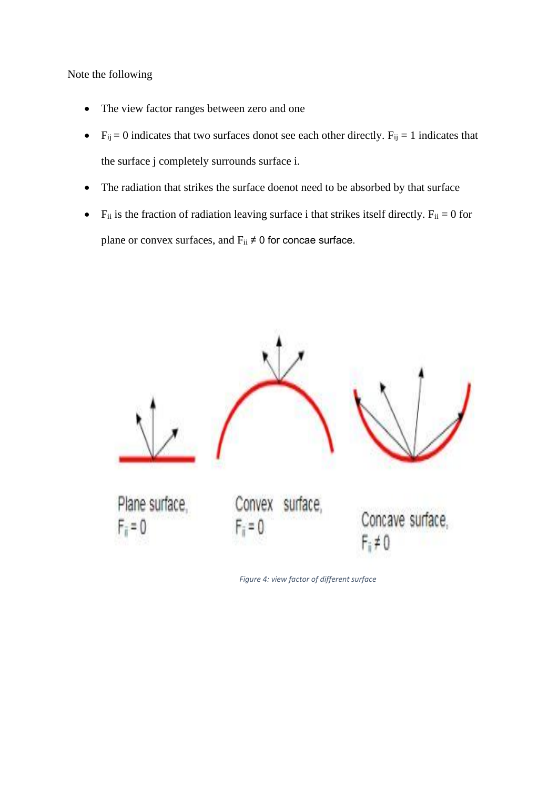Note the following

- The view factor ranges between zero and one
- $F_{ij} = 0$  indicates that two surfaces donot see each other directly.  $F_{ij} = 1$  indicates that the surface j completely surrounds surface i.
- The radiation that strikes the surface doenot need to be absorbed by that surface
- F<sub>ii</sub> is the fraction of radiation leaving surface i that strikes itself directly.  $F_{ii} = 0$  for plane or convex surfaces, and  $F_{ii} \neq 0$  for concae surface.



*Figure 4: view factor of different surface*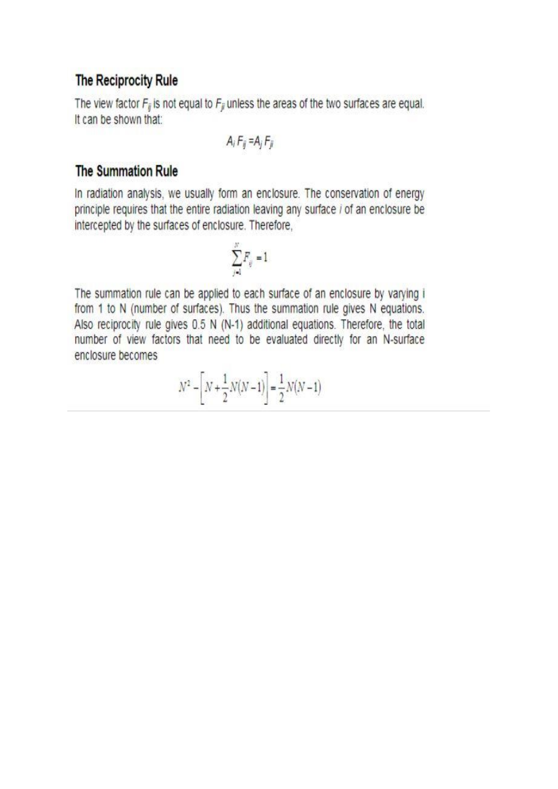## The Reciprocity Rule

The view factor  $F_{ij}$  is not equal to  $F_{ji}$  unless the areas of the two surfaces are equal. It can be shown that:

$$
A_i F_{ij} = A_j F_{ji}
$$

## **The Summation Rule**

In radiation analysis, we usually form an enclosure. The conservation of energy principle requires that the entire radiation leaving any surface i of an enclosure be intercepted by the surfaces of enclosure. Therefore,

$$
\sum_{j=1}^N F_{ij} = 1
$$

The summation rule can be applied to each surface of an enclosure by varying i from 1 to N (number of surfaces). Thus the summation rule gives N equations. Also reciprocity rule gives 0.5 N (N-1) additional equations. Therefore, the total number of view factors that need to be evaluated directly for an N-surface enclosure becomes

$$
N^2 - \left[ N + \frac{1}{2}N(N-1) \right] = \frac{1}{2}N(N-1)
$$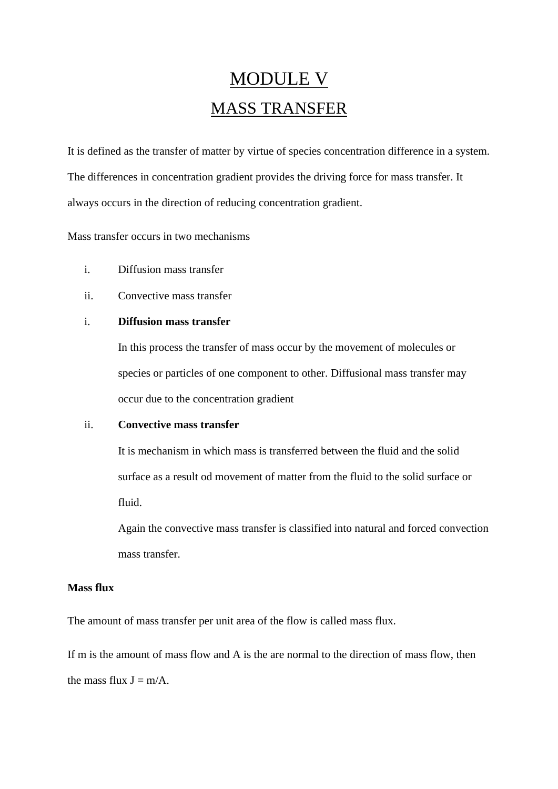# MODULE V MASS TRANSFER

It is defined as the transfer of matter by virtue of species concentration difference in a system. The differences in concentration gradient provides the driving force for mass transfer. It always occurs in the direction of reducing concentration gradient.

#### Mass transfer occurs in two mechanisms

- i. Diffusion mass transfer
- ii. Convective mass transfer

#### i. **Diffusion mass transfer**

In this process the transfer of mass occur by the movement of molecules or species or particles of one component to other. Diffusional mass transfer may occur due to the concentration gradient

#### ii. **Convective mass transfer**

It is mechanism in which mass is transferred between the fluid and the solid surface as a result od movement of matter from the fluid to the solid surface or fluid.

Again the convective mass transfer is classified into natural and forced convection mass transfer.

#### **Mass flux**

The amount of mass transfer per unit area of the flow is called mass flux.

If m is the amount of mass flow and A is the are normal to the direction of mass flow, then the mass flux  $J = m/A$ .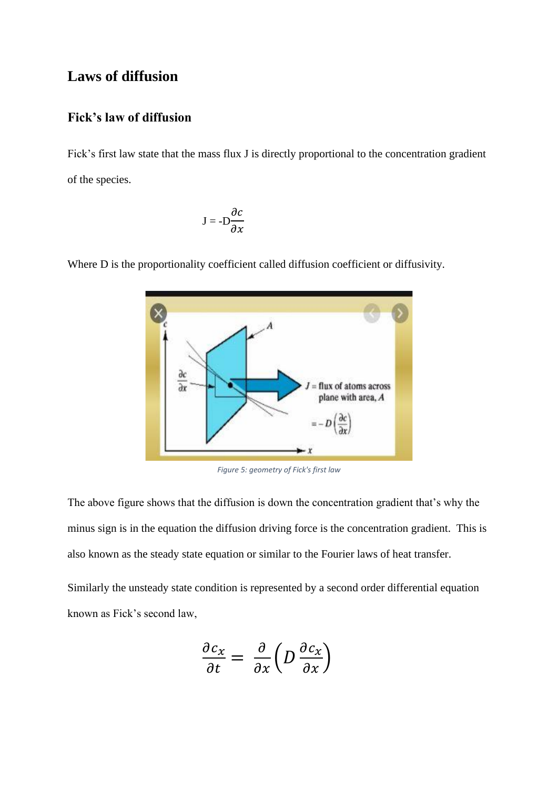### **Laws of diffusion**

#### **Fick's law of diffusion**

Fick's first law state that the mass flux J is directly proportional to the concentration gradient of the species.

$$
J=-D\frac{\partial c}{\partial x}
$$



Where D is the proportionality coefficient called diffusion coefficient or diffusivity.

*Figure 5: geometry of Fick's first law*

The above figure shows that the diffusion is down the concentration gradient that's why the minus sign is in the equation the diffusion driving force is the concentration gradient. This is also known as the steady state equation or similar to the Fourier laws of heat transfer.

Similarly the unsteady state condition is represented by a second order differential equation known as Fick's second law,

$$
\frac{\partial c_x}{\partial t} = \frac{\partial}{\partial x} \left( D \frac{\partial c_x}{\partial x} \right)
$$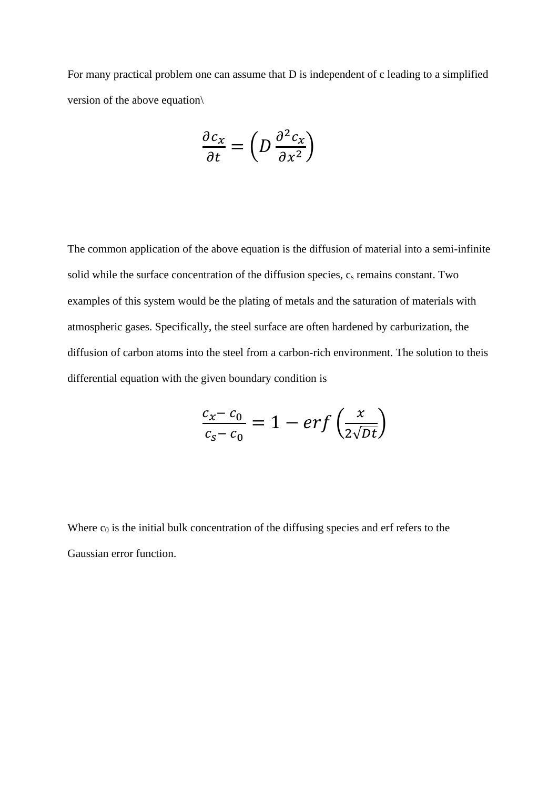For many practical problem one can assume that D is independent of c leading to a simplified version of the above equation\

$$
\frac{\partial c_x}{\partial t} = \left( D \frac{\partial^2 c_x}{\partial x^2} \right)
$$

The common application of the above equation is the diffusion of material into a semi-infinite solid while the surface concentration of the diffusion species,  $c_s$  remains constant. Two examples of this system would be the plating of metals and the saturation of materials with atmospheric gases. Specifically, the steel surface are often hardened by carburization, the diffusion of carbon atoms into the steel from a carbon-rich environment. The solution to theis differential equation with the given boundary condition is

$$
\frac{c_x - c_0}{c_s - c_0} = 1 - erf\left(\frac{x}{2\sqrt{Dt}}\right)
$$

Where  $c_0$  is the initial bulk concentration of the diffusing species and erf refers to the Gaussian error function.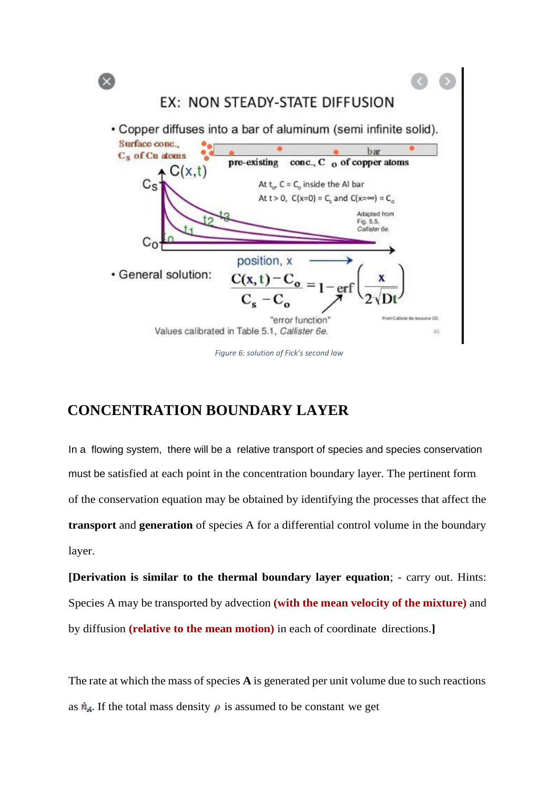

*Figure 6: solution of Fick's second law*

## **CONCENTRATION BOUNDARY LAYER**

In a flowing system, there will be a relative transport of species and species conservation must be satisfied at each point in the concentration boundary layer. The pertinent form of the conservation equation may be obtained by identifying the processes that affect the **transport** and **generation** of species A for a differential control volume in the boundary layer.

**[Derivation is similar to the thermal boundary layer equation**; - carry out. Hints: Species A may be transported by advection **(with the mean velocity of the mixture)** and by diffusion **(relative to the mean motion)** in each of coordinate directions.**]**

The rate at which the mass of species **A** is generated per unit volume due to such reactions as  $\dot{n}_A$ . If the total mass density  $\rho$  is assumed to be constant we get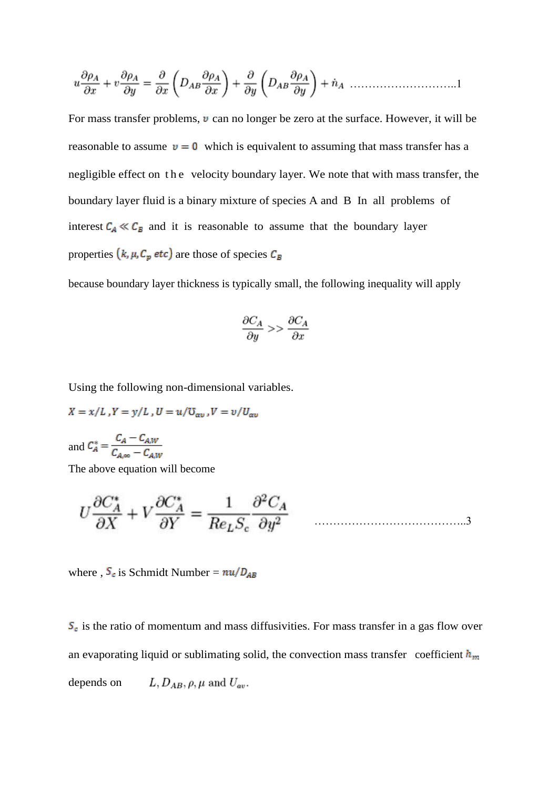………………………..1

For mass transfer problems,  $\upsilon$  can no longer be zero at the surface. However, it will be reasonable to assume  $v = 0$  which is equivalent to assuming that mass transfer has a negligible effect on the velocity boundary layer. We note that with mass transfer, the boundary layer fluid is a binary mixture of species A and B In all problems of interest  $C_A \ll C_B$  and it is reasonable to assume that the boundary layer properties  $(k, \mu, C_p \text{ etc.})$  are those of species  $C_B$ 

because boundary layer thickness is typically small, the following inequality will apply

$$
\frac{\partial C_A}{\partial y} >> \frac{\partial C_A}{\partial x}
$$

Using the following non-dimensional variables.

$$
X = x/L, Y = y/L, U = u/U_{av}, V = v/U_{av}
$$
  

$$
C_A - C_{AW}
$$

and  $C_A^* = \frac{-A}{C_{A,\infty} - C_{A,W}}$ 

The above equation will become

$$
U\frac{\partial C_A^*}{\partial X} + V\frac{\partial C_A^*}{\partial Y} = \frac{1}{Re_L S_c} \frac{\partial^2 C_A}{\partial y^2}
$$

where ,  $S_c$  is Schmidt Number =  $nu/D_{AB}$ 

 $S<sub>c</sub>$  is the ratio of momentum and mass diffusivities. For mass transfer in a gas flow over an evaporating liquid or sublimating solid, the convection mass transfer coefficient  $h_m$ L,  $D_{AB}$ ,  $\rho$ ,  $\mu$  and  $U_{av}$ . depends on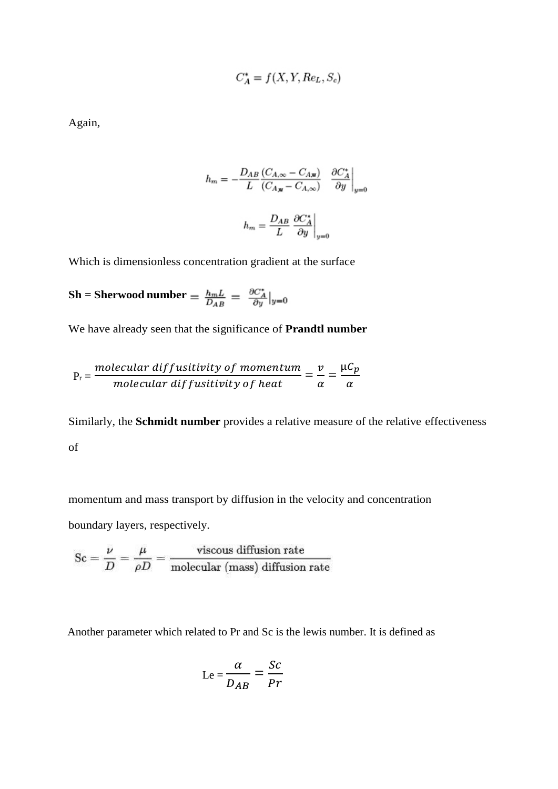$$
C_A^* = f(X, Y, Re_L, S_c)
$$

Again,

$$
h_m = -\frac{D_{AB}}{L} \frac{(C_{A,\infty} - C_{A,\mathbf{w}})}{(C_{A,\mathbf{w}} - C_{A,\infty})} \left.\begin{array}{cc} \frac{\partial C^*_A}{\partial y}\end{array}\right|_{y=0}
$$
  

$$
h_m = \frac{D_{AB}}{L} \left.\begin{array}{cc} \frac{\partial C^*_A}{\partial y}\end{array}\right|_{y=0}
$$

Which is dimensionless concentration gradient at the surface

Sh = Sherwood number = 
$$
\frac{h_m L}{D_{AB}} = \frac{\partial C_A^*}{\partial y}|_{y=0}
$$

We have already seen that the significance of **Prandtl number**

$$
P_r = \frac{molecular\ diffusitivity\ of\ momentum}{molecular\ diffusitivity\ of\ heat} = \frac{v}{\alpha} = \frac{\mu C_p}{\alpha}
$$

Similarly, the **Schmidt number** provides a relative measure of the relative effectiveness of

momentum and mass transport by diffusion in the velocity and concentration boundary layers, respectively.

$$
Sc = \frac{\nu}{D} = \frac{\mu}{\rho D} = \frac{\text{viscous diffusion rate}}{\text{molecular (mass) diffusion rate}}
$$

Another parameter which related to Pr and Sc is the lewis number. It is defined as

$$
Le = \frac{\alpha}{D_{AB}} = \frac{Sc}{Pr}
$$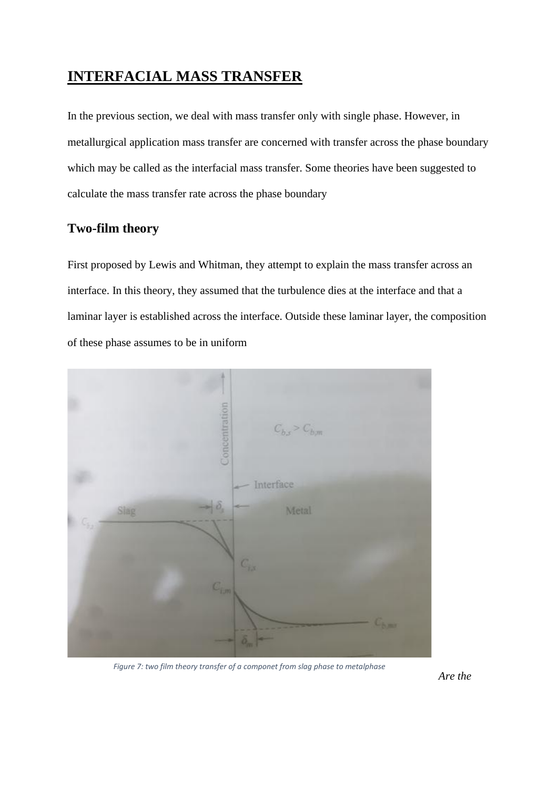## **INTERFACIAL MASS TRANSFER**

In the previous section, we deal with mass transfer only with single phase. However, in metallurgical application mass transfer are concerned with transfer across the phase boundary which may be called as the interfacial mass transfer. Some theories have been suggested to calculate the mass transfer rate across the phase boundary

#### **Two-film theory**

First proposed by Lewis and Whitman, they attempt to explain the mass transfer across an interface. In this theory, they assumed that the turbulence dies at the interface and that a laminar layer is established across the interface. Outside these laminar layer, the composition of these phase assumes to be in uniform



*Figure 7: two film theory transfer of a componet from slag phase to metalphase*

*Are the*